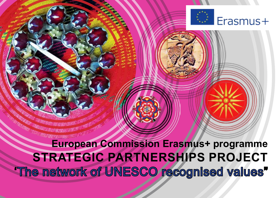

# **European Commission Erasmus+ programme STRATEGIC PARTNERSHIPS PROJECT**  'The network of UNESCO recognised values"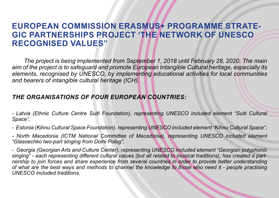## **EUROPEAN COMMISSION ERASMUS+ PROGRAMME STRATE-GIC PARTNERSHIPS PROJECT 'THE NETWORK OF UNESCO RECOGNISED VALUES"**

*The project is being implemented from September 1, 2018 until February 28, 2020. The main aim of the project is to safeguard and promote European Intangible Cultural heritage, especially its elements, recognised by UNESCO, by implementing educational activities for local communities and bearers of intangible cultural heritage (ICH).* 

### *THE ORGANISATIONS OF FOUR EUROPEAN COUNTRIES:*

*- Latvia (Ethnic Culture Centre Suiti Foundation), representing UNESCO included element "Suiti Cultural Space",*

*- Estonia (Kihnu Cultural Space Foundation), representing UNESCO included element "Kihnu Cultural Space",*

*- North Macedonia (ICTM National Committee of Macedonia), representing UNESCO included element "Glasoechko two-part singing from Dolni Polog",*

*- Georgia (Georgian Arts and Culture Center), representing UNESCO included element "Georgian polyphonic singing" - each representing different cultural values (but all related to musical traditions), has created a partnership to join forces and share experience from several countries in order to provide better understanding of what are the best ways and methods to channel the knowledge to those who need it - people practising UNESCO included traditions.*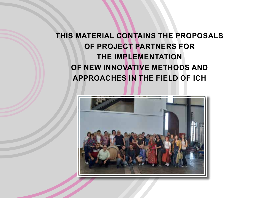## **THIS MATERIAL CONTAINS THE PROPOSALS OF PROJECT PARTNERS FOR THE IMPLEMENTATION OF NEW INNOVATIVE METHODS AND APPROACHES IN THE FIELD OF ICH**

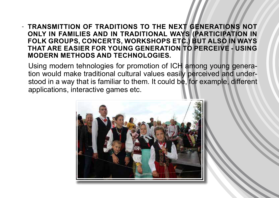## - **TRANSMITTION OF TRADITIONS TO THE NEXT GENERATIONS NOT ONLY IN FAMILIES AND IN TRADITIONAL WAYS (PARTICIPATION IN FOLK GROUPS, CONCERTS, WORKSHOPS ETC.) BUT ALSO IN WAYS THAT ARE EASIER FOR YOUNG GENERATION TO PERCEIVE - USING MODERN METHODS AND TECHNOLOGIES.**

Using modern tehnologies for promotion of ICH among young generation would make traditional cultural values easily perceived and understood in a way that is familiar to them. It could be, for example, different applications, interactive games etc.

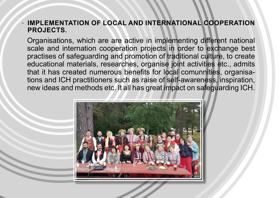## **IMPLEMENTATION OF LOCAL AND INTERNATIONAL COOPERATION PROJECTS.**

Organisations, which are are active in implementing different national scale and internation cooperation projects in order to exchange best practises of safeguarding and promotion of traditional culture, to create educational materials, researches, organise joint activities etc., admits that it has created numerous benefits for local comunnities, organisations and ICH practitioners such as raise of self-awareness, inspiration, new ideas and methods etc. It all has great impact on safeguarding ICH.

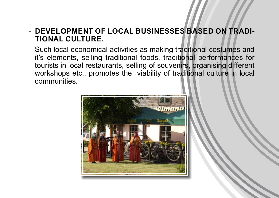## **- DEVELOPMENT OF LOCAL BUSINESSES BASED ON TRADI-TIONAL CULTURE.**

Such local economical activities as making traditional costumes and it's elements, selling traditional foods, traditional performances for tourists in local restaurants, selling of souvenirs, organising different workshops etc., promotes the viability of traditional culture in local communities.

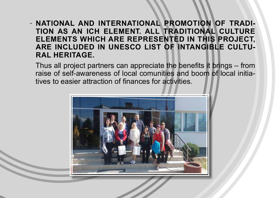## - NATIONAL AND INTERNATIONAL PROMOTION OF TRADI-**TION AS AN ICH ELEMENT. ALL TRADITIONAL CULTURE ELEMENTS WHICH ARE REPRESENTED IN THIS PROJECT, ARE INCLUDED IN UNESCO LIST OF INTANGIBLE CULTU-RAL HERITAGE.**

Thus all project partners can appreciate the benefits it brings – from raise of self-awareness of local comunities and boom of local initiatives to easier attraction of finances for activities.

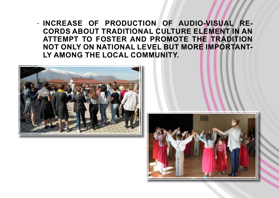- INCREASE OF PRODUCTION OF AUDIO-VISUAL RE-**CORDS ABOUT TRADITIONAL CULTURE ELEMENT IN AN ATTEMPT TO FOSTER AND PROMOTE THE TRADITION NOT ONLY ON NATIONAL LEVEL BUT MORE IMPORTANT-LY AMONG THE LOCAL COMMUNITY.**



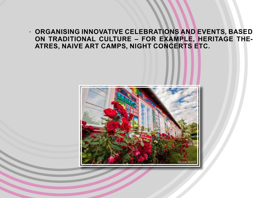- ORGANISING INNOVATIVE CELEBRATIONS AND EVENTS, BASED **ON TRADITIONAL CULTURE – FOR EXAMPLE, HERITAGE THE-ATRES, NAIVE ART CAMPS, NIGHT CONCERTS ETC.** 

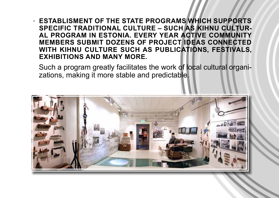## **ESTABLISMENT OF THE STATE PROGRAMS WHICH SUPPORTS SPECIFIC TRADITIONAL CULTURE – SUCH AS KIHNU CULTUR-AL PROGRAM IN ESTONIA. EVERY YEAR ACTIVE COMMUNITY MEMBERS SUBMIT DOZENS OF PROJECT IDEAS CONNECTED WITH KIHNU CULTURE SUCH AS PUBLICATIONS, FESTIVALS, EXHIBITIONS AND MANY MORE.**

Such a program greatly facilitates the work of local cultural organizations, making it more stable and predictable.

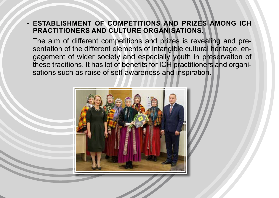## **ESTABLISHMENT OF COMPETITIONS AND PRIZES AMONG ICH PRACTITIONERS AND CULTURE ORGANISATIONS.**

The aim of different competitions and prizes is revealing and presentation of the different elements of intangible cultural heritage, engagement of wider society and especially youth in preservation of these traditions. It has lot of benefits for ICH practitioners and organisations such as raise of self-awareness and inspiration.

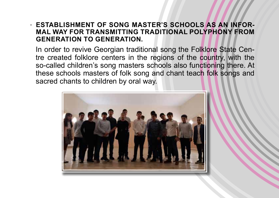## **- ESTABLISHMENT OF SONG MASTER'S SCHOOLS AS AN INFOR-MAL WAY FOR TRANSMITTING TRADITIONAL POLYPHONY FROM GENERATION TO GENERATION.**

In order to revive Georgian traditional song the Folklore State Centre created folklore centers in the regions of the country, with the so-called children's song masters schools also functioning there. At these schools masters of folk song and chant teach folk songs and sacred chants to children by oral way.